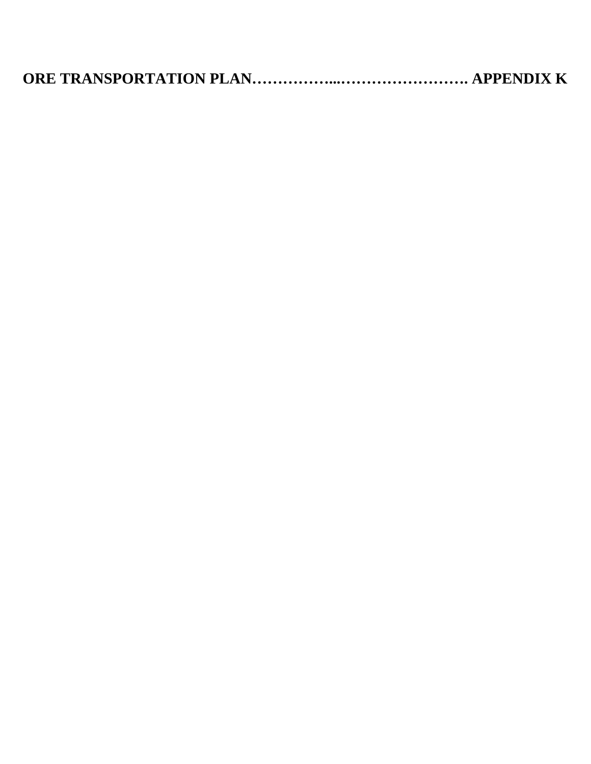|--|--|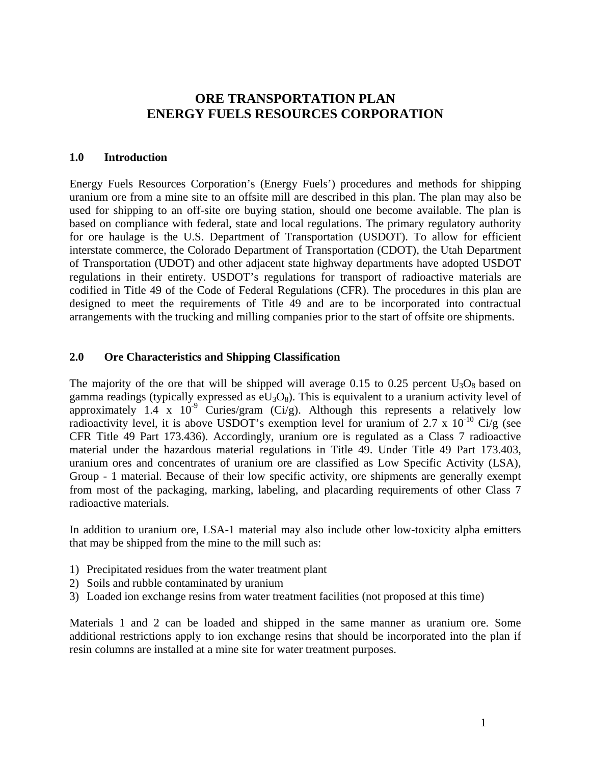## **ORE TRANSPORTATION PLAN ENERGY FUELS RESOURCES CORPORATION**

#### **1.0 Introduction**

Energy Fuels Resources Corporation's (Energy Fuels') procedures and methods for shipping uranium ore from a mine site to an offsite mill are described in this plan. The plan may also be used for shipping to an off-site ore buying station, should one become available. The plan is based on compliance with federal, state and local regulations. The primary regulatory authority for ore haulage is the U.S. Department of Transportation (USDOT). To allow for efficient interstate commerce, the Colorado Department of Transportation (CDOT), the Utah Department of Transportation (UDOT) and other adjacent state highway departments have adopted USDOT regulations in their entirety. USDOT's regulations for transport of radioactive materials are codified in Title 49 of the Code of Federal Regulations (CFR). The procedures in this plan are designed to meet the requirements of Title 49 and are to be incorporated into contractual arrangements with the trucking and milling companies prior to the start of offsite ore shipments.

#### **2.0 Ore Characteristics and Shipping Classification**

The majority of the ore that will be shipped will average 0.15 to 0.25 percent  $U_3O_8$  based on gamma readings (typically expressed as  $eU_3O_8$ ). This is equivalent to a uranium activity level of approximately 1.4 x  $10^{-9}$  Curies/gram (Ci/g). Although this represents a relatively low radioactivity level, it is above USDOT's exemption level for uranium of 2.7 x  $10^{-10}$  Ci/g (see CFR Title 49 Part 173.436). Accordingly, uranium ore is regulated as a Class 7 radioactive material under the hazardous material regulations in Title 49. Under Title 49 Part 173.403, uranium ores and concentrates of uranium ore are classified as Low Specific Activity (LSA), Group - 1 material. Because of their low specific activity, ore shipments are generally exempt from most of the packaging, marking, labeling, and placarding requirements of other Class 7 radioactive materials.

In addition to uranium ore, LSA-1 material may also include other low-toxicity alpha emitters that may be shipped from the mine to the mill such as:

- 1) Precipitated residues from the water treatment plant
- 2) Soils and rubble contaminated by uranium
- 3) Loaded ion exchange resins from water treatment facilities (not proposed at this time)

Materials 1 and 2 can be loaded and shipped in the same manner as uranium ore. Some additional restrictions apply to ion exchange resins that should be incorporated into the plan if resin columns are installed at a mine site for water treatment purposes.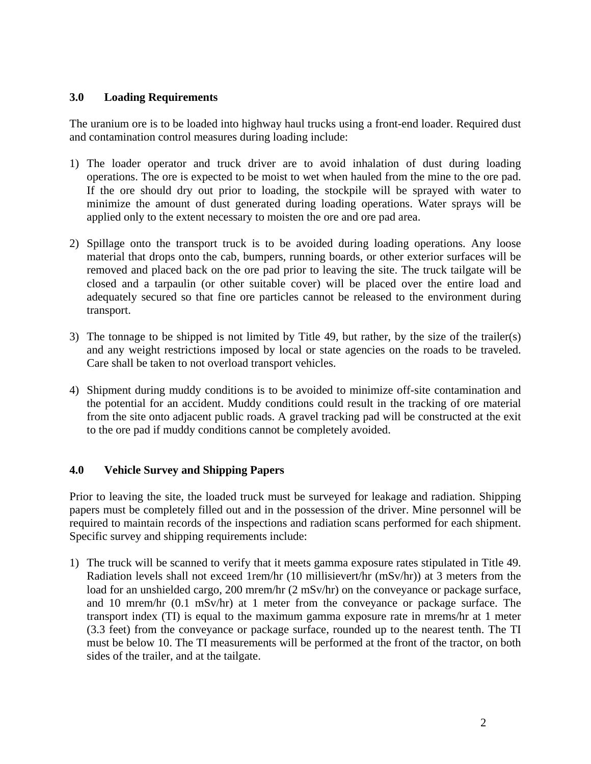#### **3.0 Loading Requirements**

The uranium ore is to be loaded into highway haul trucks using a front-end loader. Required dust and contamination control measures during loading include:

- 1) The loader operator and truck driver are to avoid inhalation of dust during loading operations. The ore is expected to be moist to wet when hauled from the mine to the ore pad. If the ore should dry out prior to loading, the stockpile will be sprayed with water to minimize the amount of dust generated during loading operations. Water sprays will be applied only to the extent necessary to moisten the ore and ore pad area.
- 2) Spillage onto the transport truck is to be avoided during loading operations. Any loose material that drops onto the cab, bumpers, running boards, or other exterior surfaces will be removed and placed back on the ore pad prior to leaving the site. The truck tailgate will be closed and a tarpaulin (or other suitable cover) will be placed over the entire load and adequately secured so that fine ore particles cannot be released to the environment during transport.
- 3) The tonnage to be shipped is not limited by Title 49, but rather, by the size of the trailer(s) and any weight restrictions imposed by local or state agencies on the roads to be traveled. Care shall be taken to not overload transport vehicles.
- 4) Shipment during muddy conditions is to be avoided to minimize off-site contamination and the potential for an accident. Muddy conditions could result in the tracking of ore material from the site onto adjacent public roads. A gravel tracking pad will be constructed at the exit to the ore pad if muddy conditions cannot be completely avoided.

### **4.0 Vehicle Survey and Shipping Papers**

Prior to leaving the site, the loaded truck must be surveyed for leakage and radiation. Shipping papers must be completely filled out and in the possession of the driver. Mine personnel will be required to maintain records of the inspections and radiation scans performed for each shipment. Specific survey and shipping requirements include:

1) The truck will be scanned to verify that it meets gamma exposure rates stipulated in Title 49. Radiation levels shall not exceed 1rem/hr (10 millisievert/hr (mSv/hr)) at 3 meters from the load for an unshielded cargo, 200 mrem/hr (2 mSv/hr) on the conveyance or package surface, and 10 mrem/hr (0.1 mSv/hr) at 1 meter from the conveyance or package surface. The transport index (TI) is equal to the maximum gamma exposure rate in mrems/hr at 1 meter (3.3 feet) from the conveyance or package surface, rounded up to the nearest tenth. The TI must be below 10. The TI measurements will be performed at the front of the tractor, on both sides of the trailer, and at the tailgate.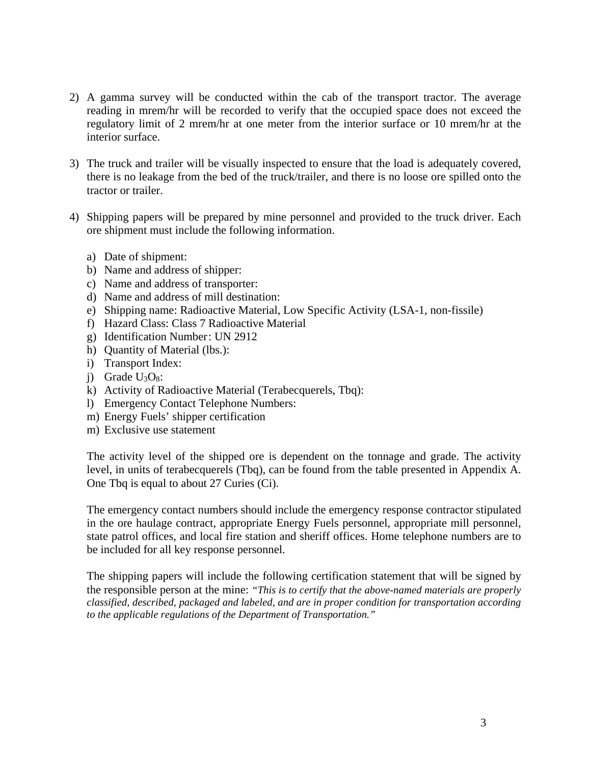- 2) A gamma survey will be conducted within the cab of the transport tractor. The average reading in mrem/hr will be recorded to verify that the occupied space does not exceed the regulatory limit of 2 mrem/hr at one meter from the interior surface or 10 mrem/hr at the interior surface.
- 3) The truck and trailer will be visually inspected to ensure that the load is adequately covered, there is no leakage from the bed of the truck/trailer, and there is no loose ore spilled onto the tractor or trailer.
- 4) Shipping papers will be prepared by mine personnel and provided to the truck driver. Each ore shipment must include the following information.
	- a) Date of shipment:
	- b) Name and address of shipper:
	- c) Name and address of transporter:
	- d) Name and address of mill destination:
	- e) Shipping name: Radioactive Material, Low Specific Activity (LSA-1, non-fissile)
	- f) Hazard Class: Class 7 Radioactive Material
	- g) Identification Number : UN 2912
	- h) Quantity of Material (lbs.):
	- i) Transport Index:
	- i) Grade  $U_3O_8$ :
	- k) Activity of Radioactive Material (Terabecquerels, Tbq):
	- l) Emergency Contact Telephone Numbers:
	- m) Energy Fuels' shipper certification
	- m) Exclusive use statement

The activity level of the shipped ore is dependent on the tonnage and grade. The activity level, in units of terabecquerels (Tbq), can be found from the table presented in Appendix A. One Tbq is equal to about 27 Curies (Ci).

The emergency contact numbers should include the emergency response contractor stipulated in the ore haulage contract, appropriate Energy Fuels personnel, appropriate mill personnel, state patrol offices, and local fire station and sheriff offices. Home telephone numbers are to be included for all key response personnel.

The shipping papers will include the following certification statement that will be signed by the responsible person at the mine: *"This is to certify that the above-named materials are properly classified, described, packaged and labeled, and are in proper condition for transportation according to the applicable regulations of the Department of Transportation."*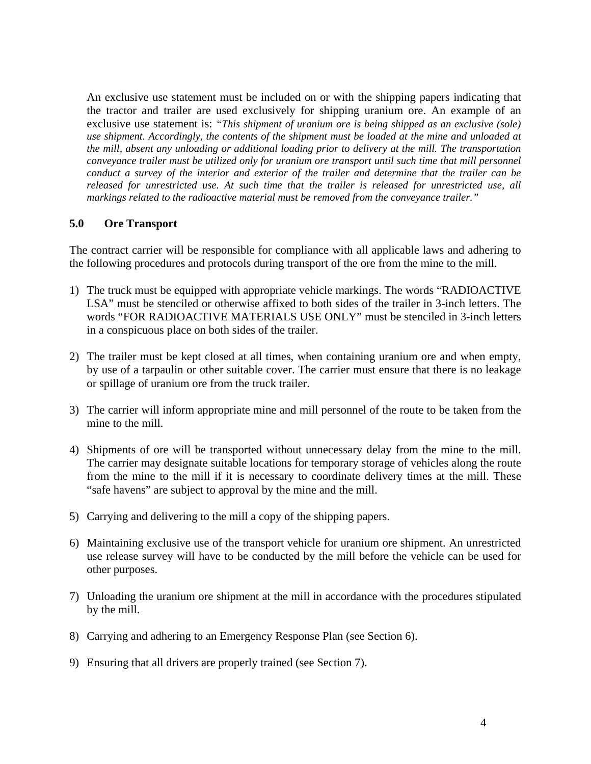An exclusive use statement must be included on or with the shipping papers indicating that the tractor and trailer are used exclusively for shipping uranium ore. An example of an exclusive use statement is: *"This shipment of uranium ore is being shipped as an exclusive (sole) use shipment. Accordingly, the contents of the shipment must be loaded at the mine and unloaded at the mill, absent any unloading or additional loading prior to delivery at the mill. The transportation conveyance trailer must be utilized only for uranium ore transport until such time that mill personnel conduct a survey of the interior and exterior of the trailer and determine that the trailer can be released for unrestricted use. At such time that the trailer is released for unrestricted use, all markings related to the radioactive material must be removed from the conveyance trailer."*

#### **5.0 Ore Transport**

The contract carrier will be responsible for compliance with all applicable laws and adhering to the following procedures and protocols during transport of the ore from the mine to the mill.

- 1) The truck must be equipped with appropriate vehicle markings. The words "RADIOACTIVE LSA" must be stenciled or otherwise affixed to both sides of the trailer in 3-inch letters. The words "FOR RADIOACTIVE MATERIALS USE ONLY" must be stenciled in 3-inch letters in a conspicuous place on both sides of the trailer.
- 2) The trailer must be kept closed at all times, when containing uranium ore and when empty, by use of a tarpaulin or other suitable cover. The carrier must ensure that there is no leakage or spillage of uranium ore from the truck trailer.
- 3) The carrier will inform appropriate mine and mill personnel of the route to be taken from the mine to the mill.
- 4) Shipments of ore will be transported without unnecessary delay from the mine to the mill. The carrier may designate suitable locations for temporary storage of vehicles along the route from the mine to the mill if it is necessary to coordinate delivery times at the mill. These "safe havens" are subject to approval by the mine and the mill.
- 5) Carrying and delivering to the mill a copy of the shipping papers.
- 6) Maintaining exclusive use of the transport vehicle for uranium ore shipment. An unrestricted use release survey will have to be conducted by the mill before the vehicle can be used for other purposes.
- 7) Unloading the uranium ore shipment at the mill in accordance with the procedures stipulated by the mill.
- 8) Carrying and adhering to an Emergency Response Plan (see Section 6).
- 9) Ensuring that all drivers are properly trained (see Section 7).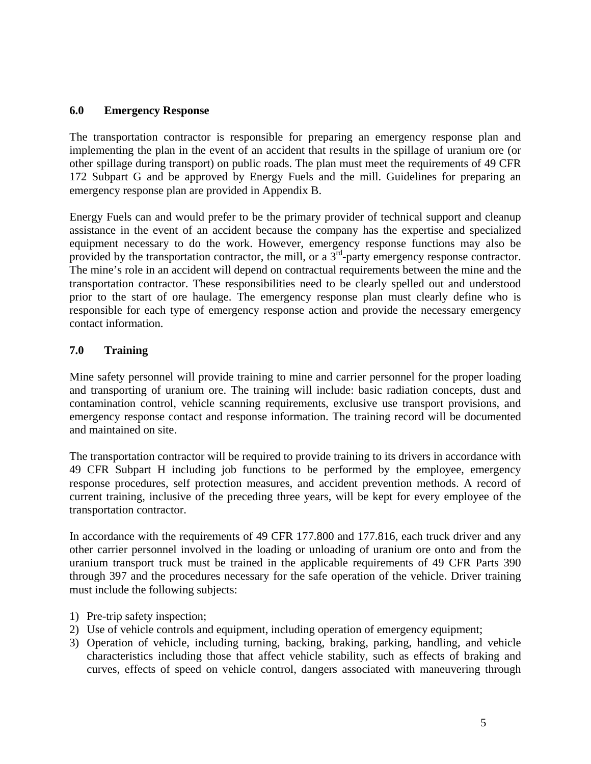#### **6.0 Emergency Response**

The transportation contractor is responsible for preparing an emergency response plan and implementing the plan in the event of an accident that results in the spillage of uranium ore (or other spillage during transport) on public roads. The plan must meet the requirements of 49 CFR 172 Subpart G and be approved by Energy Fuels and the mill. Guidelines for preparing an emergency response plan are provided in Appendix B.

Energy Fuels can and would prefer to be the primary provider of technical support and cleanup assistance in the event of an accident because the company has the expertise and specialized equipment necessary to do the work. However, emergency response functions may also be provided by the transportation contractor, the mill, or a  $3<sup>rd</sup>$ -party emergency response contractor. The mine's role in an accident will depend on contractual requirements between the mine and the transportation contractor. These responsibilities need to be clearly spelled out and understood prior to the start of ore haulage. The emergency response plan must clearly define who is responsible for each type of emergency response action and provide the necessary emergency contact information.

### **7.0 Training**

Mine safety personnel will provide training to mine and carrier personnel for the proper loading and transporting of uranium ore. The training will include: basic radiation concepts, dust and contamination control, vehicle scanning requirements, exclusive use transport provisions, and emergency response contact and response information. The training record will be documented and maintained on site.

The transportation contractor will be required to provide training to its drivers in accordance with 49 CFR Subpart H including job functions to be performed by the employee, emergency response procedures, self protection measures, and accident prevention methods. A record of current training, inclusive of the preceding three years, will be kept for every employee of the transportation contractor.

In accordance with the requirements of 49 CFR 177.800 and 177.816, each truck driver and any other carrier personnel involved in the loading or unloading of uranium ore onto and from the uranium transport truck must be trained in the applicable requirements of 49 CFR Parts 390 through 397 and the procedures necessary for the safe operation of the vehicle. Driver training must include the following subjects:

- 1) Pre-trip safety inspection;
- 2) Use of vehicle controls and equipment, including operation of emergency equipment;
- 3) Operation of vehicle, including turning, backing, braking, parking, handling, and vehicle characteristics including those that affect vehicle stability, such as effects of braking and curves, effects of speed on vehicle control, dangers associated with maneuvering through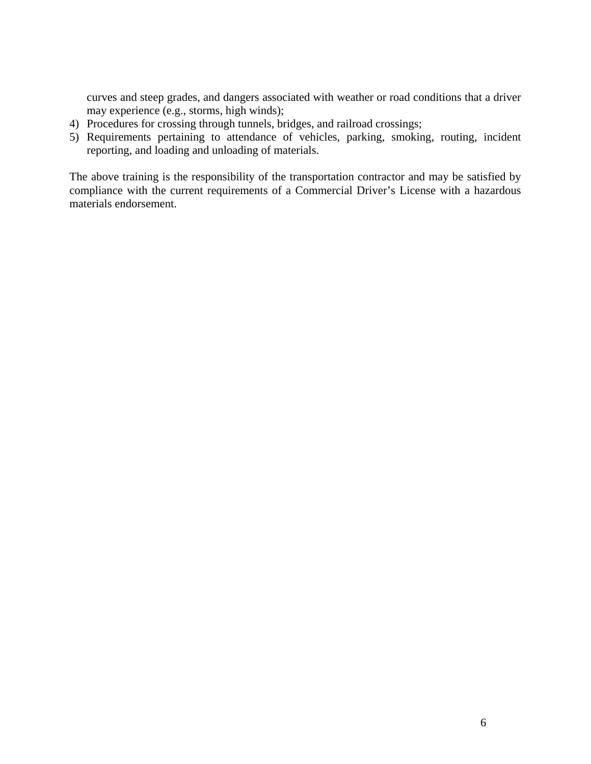curves and steep grades, and dangers associated with weather or road conditions that a driver may experience (e.g., storms, high winds);

- 4) Procedures for crossing through tunnels, bridges, and railroad crossings;
- 5) Requirements pertaining to attendance of vehicles, parking, smoking, routing, incident reporting, and loading and unloading of materials.

The above training is the responsibility of the transportation contractor and may be satisfied by compliance with the current requirements of a Commercial Driver's License with a hazardous materials endorsement.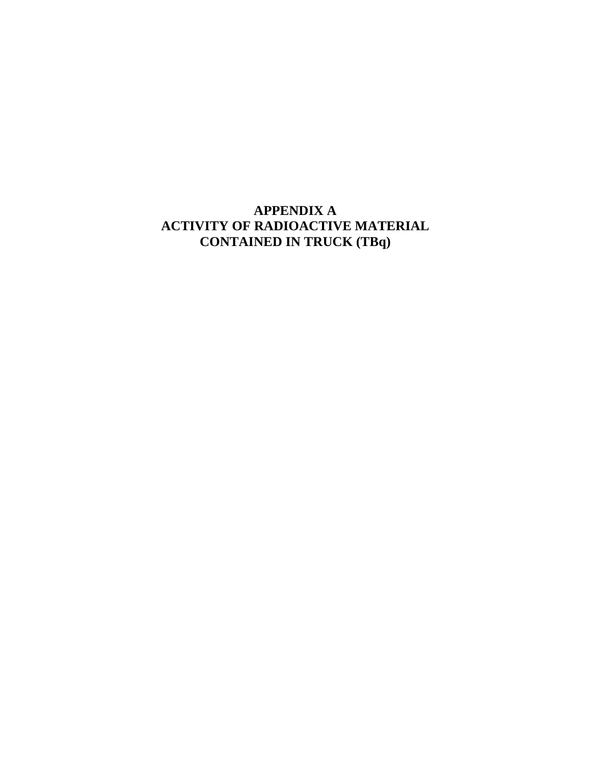# **APPENDIX A ACTIVITY OF RADIOACTIVE MATERIAL CONTAINED IN TRUCK (TBq)**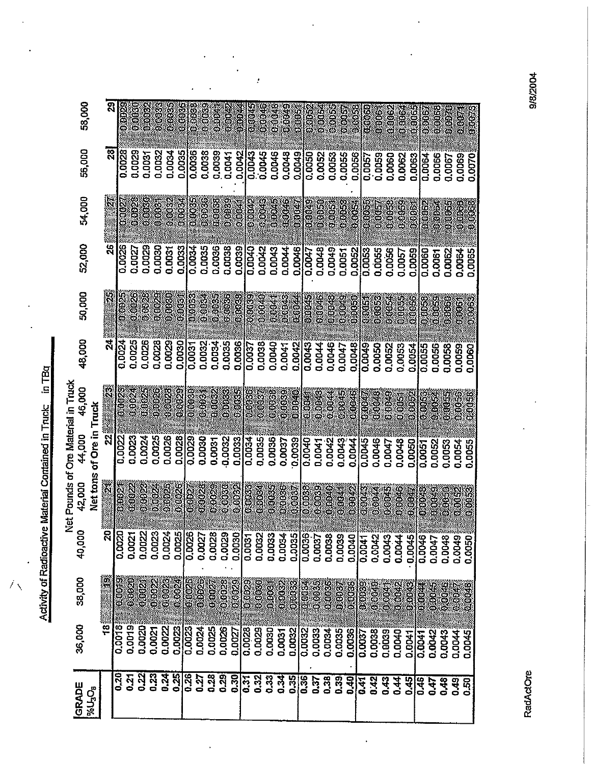Activity of Radioactive Material Contained in Truck: in TBq

 $\tilde{\mathcal{F}}_{\lambda}$ 

| 58,000                                       |                                     | ସ                          | 0.0020                        | 8008               | 0.003<br>ean<br>B | 000000    |               | 96<br>86      | \$30039        | 0.00%     | 400A      | 89004                | <b>COOL</b>        | e<br>S              | 950048    | CROSS       | COOL   | eoos<br>Co              | eaga       |             |               | 6688<br>888 <mark>8</mark> |          | is<br>S  | 1000         | č<br>S        |           | er<br>Sis   | 0.000         | 030030        | E         | 0.00N         |
|----------------------------------------------|-------------------------------------|----------------------------|-------------------------------|--------------------|-------------------|-----------|---------------|---------------|----------------|-----------|-----------|----------------------|--------------------|---------------------|-----------|-------------|--------|-------------------------|------------|-------------|---------------|----------------------------|----------|----------|--------------|---------------|-----------|-------------|---------------|---------------|-----------|---------------|
|                                              |                                     |                            |                               |                    |                   |           |               |               |                |           |           |                      |                    |                     |           |             |        |                         |            |             |               |                            |          |          |              |               |           |             |               |               |           |               |
| 56,000                                       |                                     |                            | <b>281</b><br>0.0028          | 0.0029             | 0.0032<br>0.0031  | 0.0034    | 0.0035        | 0.0036        | 0.0038         | 0.0039    | 0.0041    | 0.0042               | 0.0043             | 0.0045              | 0.0045    | 0.0048      | 0.0049 | 0.0050                  | 0.0052     | 0.0053      | 0.0055        | 0.0056                     | 0.0057   | 0.0059   | 0.0060       | 0.0062        | 0.0063    | 0.0064      | 0.0066        | 0.0067        | 0.0069    | 0.0070        |
| 54,000                                       |                                     |                            | <b>CODE</b>                   | <b>63610</b><br>C. | 8<br>8            | 0.0032    | o<br>O<br>O   | 0005          | seese          | e<br>Soos | 0.093     |                      |                    | 0.0043              | 8100AS    |             |        |                         |            |             |               |                            |          |          |              |               |           |             |               |               |           |               |
|                                              |                                     |                            |                               |                    |                   |           |               |               |                |           |           |                      | e eers<br>O        |                     |           | <b>COOL</b> |        | 80000                   | eaco       | G<br>G      | sang          | i<br>Solo                  | 00000    | eoop     | eos          | 88003         | č<br>Soos | 00062       | a<br>S        | ö<br>S        | a<br>Ba   | ÖO<br>OO      |
| 52,000                                       |                                     |                            | 0.0026                        | 0.0029<br>0.0027   | 0.0030            | 0.0031    | 0.0033        | 0.0034        | 0.0035         | 0.0036    | 0.0038    |                      | $0.0039$<br>0.0040 | 0.0042              | 0.0043    | 0.0044      | 0.0046 | 0.0047                  | 0.0048     | 0.0049      | 0.0051        | 0.0052                     | 0.0053   | 0.0055   | 0.0056       | 0.0057        | 0.0059    | 0.0060      | 0.0061        | 0.0062        | 0.0064    | 0.0065        |
|                                              |                                     |                            |                               |                    |                   |           |               |               |                |           |           |                      |                    |                     |           |             |        |                         |            |             |               |                            |          |          |              |               |           |             |               |               |           |               |
| 50,000                                       |                                     |                            | 00025<br>es<br>S              | 00008              | 000D              | 63060     | <b>COOL</b>   | 0.0093        | ě              | eced<br>O | C<br>Co   |                      |                    | - 10<br>0004<br>000 | Š         | č<br>e      |        | eaoz<br>Ooba            | G QQS      | s<br>e<br>e | ာ<br>စီ<br>စီ | 6000                       | esi<br>S | sa<br>S  | e<br>S       | s<br>a        |           | és<br>SP    | 6065          | 030106        | 606F      | 08000         |
| 48,000                                       |                                     |                            | 0.0024<br>0.0025              | 0.0026             | 0.0028            | 0.0029    | 0.0030        | 0.0031        | 0.0032         |           | 0.0034    | 0.0036               | 0.0037             | 0.0038              | 0.0040    | 0.0041      |        | 0.0043                  | 0.0044     | 0.0046      |               | 0.0048                     | 0.0049   | 0.0050   |              |               |           |             |               |               |           |               |
|                                              |                                     |                            |                               |                    |                   |           |               |               |                |           |           |                      |                    |                     |           |             |        |                         |            |             | 0.0047        |                            |          |          | 0.0052       | 0.0053        | 0.0054    | 0.0055      | 0.0056        | 0.0058        | 0,0059    | <b>0.000C</b> |
| et Pounds of Ore Material in Truck<br>46,000 |                                     |                            | 010023<br>e<br>Boo            | indieží            | es<br>S           | 0.0028    |               | ee<br>Bee     | 5.<br>Seba     | 00002     | eses<br>C | 586                  | 00000              | e<br>S              | esos<br>C | 88<br>8     | CBOOC  | 0.004                   | 0.0043     | i<br>Ool    | 60045         | eroere                     | 0000     | e<br>S   | o<br>Seo     | eo<br>O       | 60.64     | <b>ESOR</b> | 6<br>So       | 6365          | dorë<br>G | 0000          |
|                                              | Tugʻi<br>L                          | ನ                          |                               |                    |                   |           |               |               |                |           |           |                      |                    |                     |           |             |        |                         |            |             |               |                            |          |          |              |               |           |             |               |               |           |               |
| 44,000                                       | of Ore in                           |                            | 0.0022<br>0.0023              | 0.0024             | 0.0025            | 0.0026    | 0.0028        | 0.0029        | 0.0030         | 0.0031    | 0.0032    | $0.0033$<br>$0.0034$ |                    | 0.0035              | 0.0036    | 0.0037      |        | $\frac{0.0039}{0.0040}$ | 0.0041     | 0.0042      | 0.0043        | 0.0044                     | 0.0045   | 0.0046   | 0.0047       | 0.0048        | 0.0050    | 0.0051      | 0.0052        | 0.0053        | 0.0054    | 0.0055        |
| 42,000                                       | Net tons                            |                            | <b>BOOSO</b><br>R<br>So       | 00000              | No.<br>S          | o<br>Goog | <b>1998</b>   |               | 0003           | essesse   | COOSO     | 880<br>000           | 060033             | esosa<br>C          | S<br>S    |             |        |                         |            |             |               |                            |          |          |              |               |           |             |               |               |           |               |
|                                              |                                     |                            |                               |                    |                   |           |               | <b>COCO</b>   |                |           |           |                      |                    |                     |           | poos:       | ë      | QOOS                    | COOSE)     | Č           | 68041         | ong<br>Sisa                | e oraș   | 630044   | 000045       | e<br>Seena    | 0.0047    | 0:00:43     | 0.0099        |               |           | io<br>Co      |
| z<br>40,000                                  |                                     | $\boldsymbol{\mathcal{Z}}$ | 0.0020<br>0.0021              | 0.0022             | 0.0023            | 0.0024    | 0.0025        | 0.0026        | 0.0027         | 0.0028    | 0.0029    | 0.0030               | 0.0031             | 0.0032              | 0.0033    | 0.0034      | 0.0035 | 0.0036                  | 0.0037     | 0.0038      | 0.0039        | 0.0040                     | 0.0041   | 0.0042   | 0.0043       | 0.0044        | 0.0045    | 0.0046      | 0.0047        | 0.0048        | 0.0049    | 0.0050        |
|                                              |                                     |                            |                               |                    |                   |           |               |               |                |           |           |                      |                    |                     |           |             |        |                         |            |             |               |                            |          |          |              |               |           |             |               |               |           |               |
| 38,000                                       |                                     |                            | <b>ONBOTS</b><br><b>BEDES</b> | 0.002              | e<br>Soo          | e<br>Soo  | 0.0024        | <b>EROOSE</b> | 00026<br>Class | 130020    | 00080     | 8800                 | 030029             | <b>BOOK</b>         | a<br>8    | 00063       |        | e<br>ee<br>ee           | 38<br>0000 | 0000S       | 00030         | 88055                      | esoad    | e<br>Coo | <b>ERGIO</b> | e<br>Coop     | e<br>B    | 0.0044      | Cooled        | 6<br>00<br>00 | e<br>See  | 00008         |
| 36,000                                       |                                     | $\frac{3}{2}$              | 0.0018<br>0.0019              | 0.0020             | 0.0021            | 0.0022    | <b>0.0023</b> | 0.0023        | 0.0024         | 0.0025    | 0.0026    |                      | 0.0028             | 0.0029              |           |             |        |                         |            |             |               |                            |          |          |              |               |           |             |               |               |           |               |
|                                              |                                     |                            |                               |                    |                   |           |               |               |                |           |           | 0.0027               |                    |                     | 0.0030    | 0.0031      | 0.0032 | 0.0032                  | 0.0033     | 0.0034      | 0.0035        | 0.0036                     | 0.0037   | 0.0038   | 0.0039       | 0.0040        | 0.0041    | 0.0041      | <b>D.OO42</b> | 0.0043        | 0.0044    | 0.0045        |
| GRADE                                        | <b>PGU<sub>3</sub>O<sub>B</sub></b> |                            | 0.20<br>74<br>0               | 0.22               | 0.23              | 0.24      | 0.25          | 0.26          | 0.27           | 0.28      | 0.29      | 0.30                 | 0.31               | 0.32                | 0.33      | 0.34        | 0.35   | 0.36                    | 0.37       | 0.38        | 0.39          | 0.40                       | 0.41     | 0.42     | 0.43         | $\frac{4}{3}$ | 0.45      | 0.46        | 0.47          | 0,48          | 0.49      | 0.50          |
|                                              |                                     |                            |                               |                    |                   |           |               |               |                |           |           |                      |                    |                     |           |             |        |                         |            |             |               |                            |          |          |              |               |           |             |               |               |           |               |

 $\ddot{\phantom{0}}$ 

 $\ddot{\phantom{0}}$ 

 $\cdot$ 

RadActOre

9/8/2004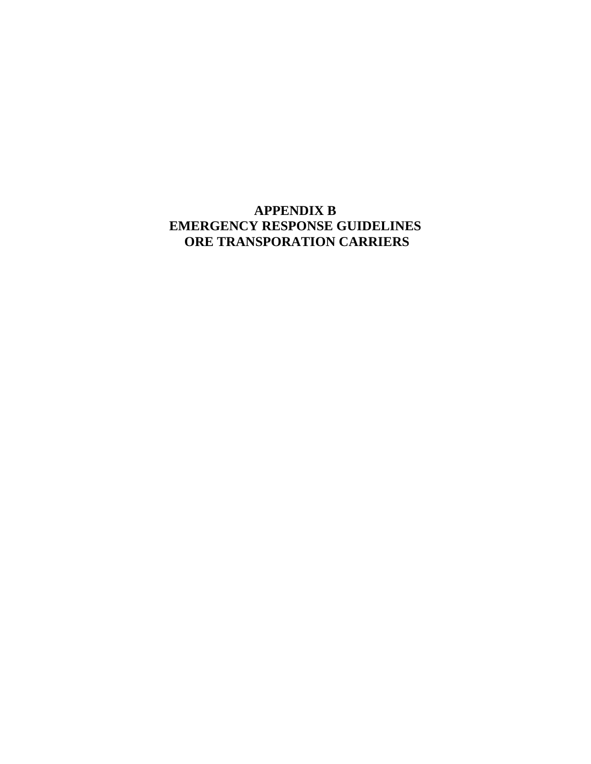# **APPENDIX B EMERGENCY RESPONSE GUIDELINES ORE TRANSPORATION CARRIERS**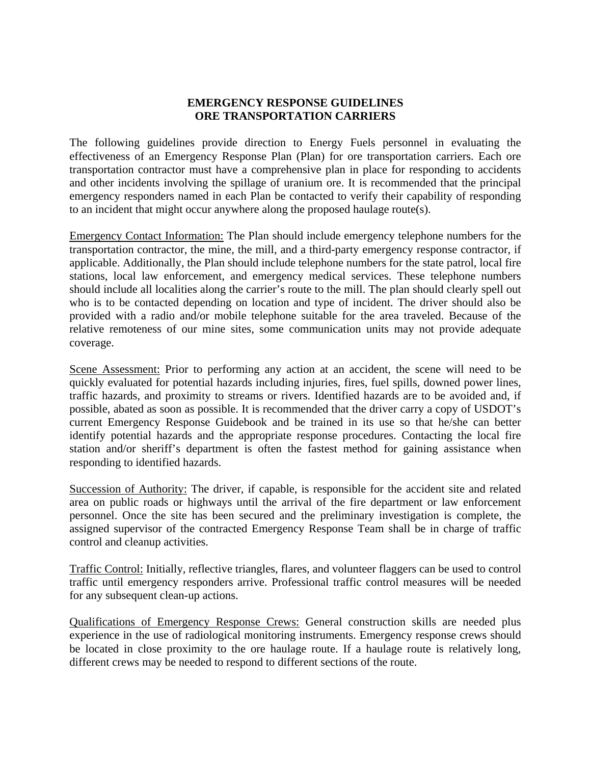#### **EMERGENCY RESPONSE GUIDELINES ORE TRANSPORTATION CARRIERS**

The following guidelines provide direction to Energy Fuels personnel in evaluating the effectiveness of an Emergency Response Plan (Plan) for ore transportation carriers. Each ore transportation contractor must have a comprehensive plan in place for responding to accidents and other incidents involving the spillage of uranium ore. It is recommended that the principal emergency responders named in each Plan be contacted to verify their capability of responding to an incident that might occur anywhere along the proposed haulage route(s).

Emergency Contact Information: The Plan should include emergency telephone numbers for the transportation contractor, the mine, the mill, and a third-party emergency response contractor, if applicable. Additionally, the Plan should include telephone numbers for the state patrol, local fire stations, local law enforcement, and emergency medical services. These telephone numbers should include all localities along the carrier's route to the mill. The plan should clearly spell out who is to be contacted depending on location and type of incident. The driver should also be provided with a radio and/or mobile telephone suitable for the area traveled. Because of the relative remoteness of our mine sites, some communication units may not provide adequate coverage.

Scene Assessment: Prior to performing any action at an accident, the scene will need to be quickly evaluated for potential hazards including injuries, fires, fuel spills, downed power lines, traffic hazards, and proximity to streams or rivers. Identified hazards are to be avoided and, if possible, abated as soon as possible. It is recommended that the driver carry a copy of USDOT's current Emergency Response Guidebook and be trained in its use so that he/she can better identify potential hazards and the appropriate response procedures. Contacting the local fire station and/or sheriff's department is often the fastest method for gaining assistance when responding to identified hazards.

Succession of Authority: The driver, if capable, is responsible for the accident site and related area on public roads or highways until the arrival of the fire department or law enforcement personnel. Once the site has been secured and the preliminary investigation is complete, the assigned supervisor of the contracted Emergency Response Team shall be in charge of traffic control and cleanup activities.

Traffic Control: Initially, reflective triangles, flares, and volunteer flaggers can be used to control traffic until emergency responders arrive. Professional traffic control measures will be needed for any subsequent clean-up actions.

Qualifications of Emergency Response Crews: General construction skills are needed plus experience in the use of radiological monitoring instruments. Emergency response crews should be located in close proximity to the ore haulage route. If a haulage route is relatively long, different crews may be needed to respond to different sections of the route.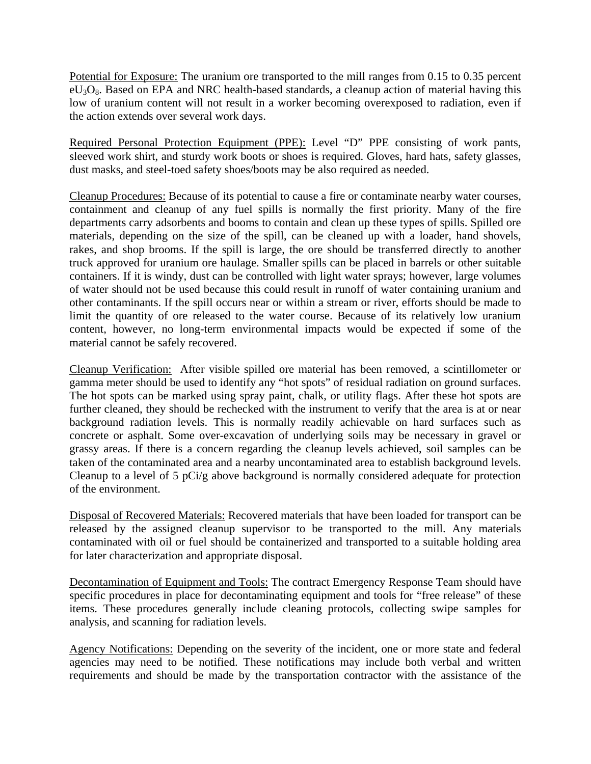Potential for Exposure: The uranium ore transported to the mill ranges from 0.15 to 0.35 percent  $eU_3O_8$ . Based on EPA and NRC health-based standards, a cleanup action of material having this low of uranium content will not result in a worker becoming overexposed to radiation, even if the action extends over several work days.

Required Personal Protection Equipment (PPE): Level "D" PPE consisting of work pants, sleeved work shirt, and sturdy work boots or shoes is required. Gloves, hard hats, safety glasses, dust masks, and steel-toed safety shoes/boots may be also required as needed.

Cleanup Procedures: Because of its potential to cause a fire or contaminate nearby water courses, containment and cleanup of any fuel spills is normally the first priority. Many of the fire departments carry adsorbents and booms to contain and clean up these types of spills. Spilled ore materials, depending on the size of the spill, can be cleaned up with a loader, hand shovels, rakes, and shop brooms. If the spill is large, the ore should be transferred directly to another truck approved for uranium ore haulage. Smaller spills can be placed in barrels or other suitable containers. If it is windy, dust can be controlled with light water sprays; however, large volumes of water should not be used because this could result in runoff of water containing uranium and other contaminants. If the spill occurs near or within a stream or river, efforts should be made to limit the quantity of ore released to the water course. Because of its relatively low uranium content, however, no long-term environmental impacts would be expected if some of the material cannot be safely recovered.

Cleanup Verification: After visible spilled ore material has been removed, a scintillometer or gamma meter should be used to identify any "hot spots" of residual radiation on ground surfaces. The hot spots can be marked using spray paint, chalk, or utility flags. After these hot spots are further cleaned, they should be rechecked with the instrument to verify that the area is at or near background radiation levels. This is normally readily achievable on hard surfaces such as concrete or asphalt. Some over-excavation of underlying soils may be necessary in gravel or grassy areas. If there is a concern regarding the cleanup levels achieved, soil samples can be taken of the contaminated area and a nearby uncontaminated area to establish background levels. Cleanup to a level of 5 pCi/g above background is normally considered adequate for protection of the environment.

Disposal of Recovered Materials: Recovered materials that have been loaded for transport can be released by the assigned cleanup supervisor to be transported to the mill. Any materials contaminated with oil or fuel should be containerized and transported to a suitable holding area for later characterization and appropriate disposal.

Decontamination of Equipment and Tools: The contract Emergency Response Team should have specific procedures in place for decontaminating equipment and tools for "free release" of these items. These procedures generally include cleaning protocols, collecting swipe samples for analysis, and scanning for radiation levels.

Agency Notifications: Depending on the severity of the incident, one or more state and federal agencies may need to be notified. These notifications may include both verbal and written requirements and should be made by the transportation contractor with the assistance of the